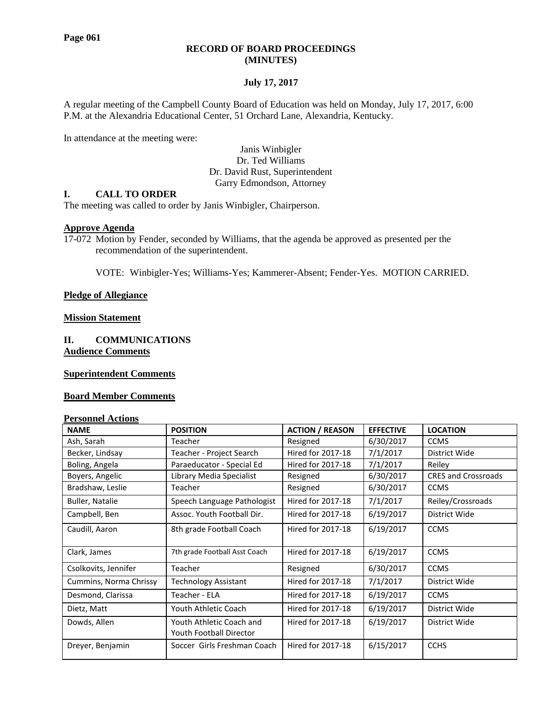# **RECORD OF BOARD PROCEEDINGS (MINUTES)**

# **July 17, 2017**

A regular meeting of the Campbell County Board of Education was held on Monday, July 17, 2017, 6:00 P.M. at the Alexandria Educational Center, 51 Orchard Lane, Alexandria, Kentucky.

In attendance at the meeting were:

Janis Winbigler Dr. Ted Williams Dr. David Rust, Superintendent Garry Edmondson, Attorney

# **I. CALL TO ORDER**

The meeting was called to order by Janis Winbigler, Chairperson.

# **Approve Agenda**

17-072 Motion by Fender, seconded by Williams, that the agenda be approved as presented per the recommendation of the superintendent.

VOTE: Winbigler-Yes; Williams-Yes; Kammerer-Absent; Fender-Yes. MOTION CARRIED.

#### **Pledge of Allegiance**

# **Mission Statement**

**II. COMMUNICATIONS Audience Comments**

#### **Superintendent Comments**

#### **Board Member Comments**

#### **Personnel Actions**

| <b>NAME</b>            | <b>POSITION</b>                                     | <b>ACTION / REASON</b>   | <b>EFFECTIVE</b> | <b>LOCATION</b>            |  |
|------------------------|-----------------------------------------------------|--------------------------|------------------|----------------------------|--|
| Ash, Sarah             | Teacher                                             | Resigned                 | 6/30/2017        | <b>CCMS</b>                |  |
| Becker, Lindsay        | Teacher - Project Search                            | Hired for 2017-18        | 7/1/2017         | District Wide              |  |
| Boling, Angela         | Paraeducator - Special Ed                           | Hired for 2017-18        | 7/1/2017         | Reiley                     |  |
| Boyers, Angelic        | Library Media Specialist                            | Resigned                 | 6/30/2017        | <b>CRES and Crossroads</b> |  |
| Bradshaw, Leslie       | Teacher                                             | Resigned                 | 6/30/2017        | <b>CCMS</b>                |  |
| <b>Buller, Natalie</b> | Speech Language Pathologist                         | Hired for 2017-18        | 7/1/2017         | Reiley/Crossroads          |  |
| Campbell, Ben          | Assoc. Youth Football Dir.                          | Hired for 2017-18        | 6/19/2017        | District Wide              |  |
| Caudill, Aaron         | 8th grade Football Coach                            | Hired for 2017-18        | 6/19/2017        | <b>CCMS</b>                |  |
| Clark, James           | 7th grade Football Asst Coach                       | Hired for 2017-18        | 6/19/2017        | <b>CCMS</b>                |  |
| Csolkovits, Jennifer   | Teacher                                             | Resigned                 | 6/30/2017        | <b>CCMS</b>                |  |
| Cummins, Norma Chrissy | <b>Technology Assistant</b>                         | Hired for 2017-18        | 7/1/2017         | District Wide              |  |
| Desmond, Clarissa      | Teacher - ELA                                       | Hired for 2017-18        | 6/19/2017        | <b>CCMS</b>                |  |
| Dietz, Matt            | Youth Athletic Coach                                | Hired for 2017-18        | 6/19/2017        | District Wide              |  |
| Dowds, Allen           | Youth Athletic Coach and<br>Youth Football Director | Hired for 2017-18        | 6/19/2017        | District Wide              |  |
| Dreyer, Benjamin       | Soccer Girls Freshman Coach                         | <b>Hired for 2017-18</b> | 6/15/2017        | <b>CCHS</b>                |  |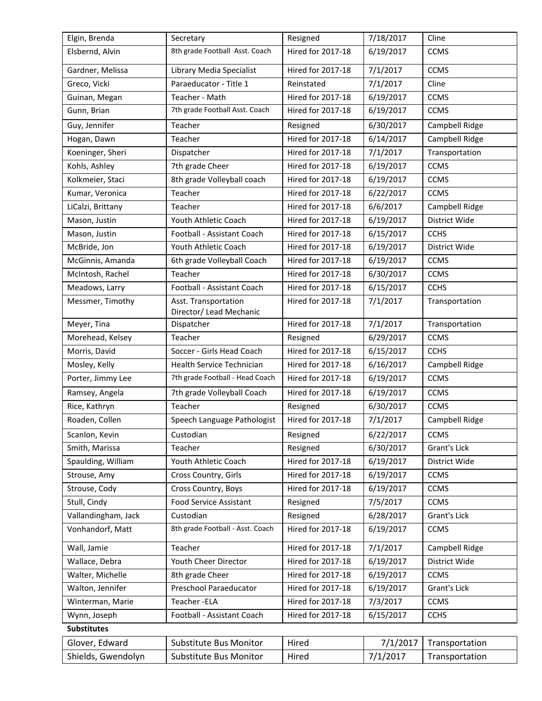| Elgin, Brenda       | Secretary                                       | Resigned                 | 7/18/2017 | Cline          |  |  |  |
|---------------------|-------------------------------------------------|--------------------------|-----------|----------------|--|--|--|
| Elsbernd, Alvin     | 8th grade Football Asst. Coach                  | Hired for 2017-18        | 6/19/2017 | <b>CCMS</b>    |  |  |  |
| Gardner, Melissa    | Library Media Specialist                        | Hired for 2017-18        | 7/1/2017  | <b>CCMS</b>    |  |  |  |
| Greco, Vicki        | Paraeducator - Title 1                          | Reinstated               | 7/1/2017  | Cline          |  |  |  |
| Guinan, Megan       | Teacher - Math                                  | <b>Hired for 2017-18</b> | 6/19/2017 | <b>CCMS</b>    |  |  |  |
| Gunn, Brian         | 7th grade Football Asst. Coach                  | Hired for 2017-18        | 6/19/2017 | <b>CCMS</b>    |  |  |  |
| Guy, Jennifer       | Teacher                                         | Resigned                 | 6/30/2017 | Campbell Ridge |  |  |  |
| Hogan, Dawn         | Teacher                                         | Hired for 2017-18        | 6/14/2017 | Campbell Ridge |  |  |  |
| Koeninger, Sheri    | Dispatcher                                      | Hired for 2017-18        | 7/1/2017  | Transportation |  |  |  |
| Kohls, Ashley       | 7th grade Cheer                                 | Hired for 2017-18        | 6/19/2017 | <b>CCMS</b>    |  |  |  |
| Kolkmeier, Staci    | 8th grade Volleyball coach                      | Hired for 2017-18        | 6/19/2017 | <b>CCMS</b>    |  |  |  |
| Kumar, Veronica     | Teacher                                         | Hired for 2017-18        | 6/22/2017 | <b>CCMS</b>    |  |  |  |
| LiCalzi, Brittany   | Teacher                                         | <b>Hired for 2017-18</b> | 6/6/2017  | Campbell Ridge |  |  |  |
| Mason, Justin       | Youth Athletic Coach                            | Hired for 2017-18        | 6/19/2017 | District Wide  |  |  |  |
| Mason, Justin       | Football - Assistant Coach                      | Hired for 2017-18        | 6/15/2017 | <b>CCHS</b>    |  |  |  |
| McBride, Jon        | Youth Athletic Coach                            | Hired for 2017-18        | 6/19/2017 | District Wide  |  |  |  |
| McGinnis, Amanda    | 6th grade Volleyball Coach                      | Hired for 2017-18        | 6/19/2017 | <b>CCMS</b>    |  |  |  |
| McIntosh, Rachel    | Teacher                                         | Hired for 2017-18        | 6/30/2017 | <b>CCMS</b>    |  |  |  |
| Meadows, Larry      | Football - Assistant Coach                      | Hired for 2017-18        | 6/15/2017 | <b>CCHS</b>    |  |  |  |
| Messmer, Timothy    | Asst. Transportation<br>Director/ Lead Mechanic | Hired for 2017-18        | 7/1/2017  | Transportation |  |  |  |
| Meyer, Tina         | Dispatcher                                      | Hired for 2017-18        | 7/1/2017  | Transportation |  |  |  |
| Morehead, Kelsey    | Teacher                                         | Resigned                 | 6/29/2017 | <b>CCMS</b>    |  |  |  |
| Morris, David       | Soccer - Girls Head Coach                       | Hired for 2017-18        | 6/15/2017 | <b>CCHS</b>    |  |  |  |
| Mosley, Kelly       | Health Service Technician                       | Hired for 2017-18        | 6/16/2017 | Campbell Ridge |  |  |  |
| Porter, Jimmy Lee   | 7th grade Football - Head Coach                 | Hired for 2017-18        | 6/19/2017 | <b>CCMS</b>    |  |  |  |
| Ramsey, Angela      | 7th grade Volleyball Coach                      | Hired for 2017-18        | 6/19/2017 | <b>CCMS</b>    |  |  |  |
| Rice, Kathryn       | Teacher                                         | Resigned                 | 6/30/2017 | <b>CCMS</b>    |  |  |  |
| Roaden, Collen      | Speech Language Pathologist                     | <b>Hired for 2017-18</b> | 7/1/2017  | Campbell Ridge |  |  |  |
| Scanlon, Kevin      | Custodian                                       | Resigned                 | 6/22/2017 | <b>CCMS</b>    |  |  |  |
| Smith, Marissa      | Teacher                                         | Resigned                 | 6/30/2017 | Grant's Lick   |  |  |  |
| Spaulding, William  | Youth Athletic Coach                            | Hired for 2017-18        | 6/19/2017 | District Wide  |  |  |  |
| Strouse, Amy        | Cross Country, Girls                            | Hired for 2017-18        | 6/19/2017 | <b>CCMS</b>    |  |  |  |
| Strouse, Cody       | Cross Country, Boys                             | Hired for 2017-18        | 6/19/2017 | <b>CCMS</b>    |  |  |  |
| Stull, Cindy        | <b>Food Service Assistant</b>                   | Resigned                 | 7/5/2017  | <b>CCMS</b>    |  |  |  |
| Vallandingham, Jack | Custodian                                       | Resigned                 | 6/28/2017 | Grant's Lick   |  |  |  |
| Vonhandorf, Matt    | 8th grade Football - Asst. Coach                | Hired for 2017-18        | 6/19/2017 | <b>CCMS</b>    |  |  |  |
| Wall, Jamie         | Teacher                                         | Hired for 2017-18        | 7/1/2017  | Campbell Ridge |  |  |  |
| Wallace, Debra      | Youth Cheer Director                            | <b>Hired for 2017-18</b> | 6/19/2017 | District Wide  |  |  |  |
| Walter, Michelle    | 8th grade Cheer                                 | Hired for 2017-18        | 6/19/2017 | <b>CCMS</b>    |  |  |  |
| Walton, Jennifer    | Preschool Paraeducator                          | Hired for 2017-18        | 6/19/2017 | Grant's Lick   |  |  |  |
| Winterman, Marie    | Teacher-ELA                                     | Hired for 2017-18        | 7/3/2017  | <b>CCMS</b>    |  |  |  |
| Wynn, Joseph        | Football - Assistant Coach                      | Hired for 2017-18        | 6/15/2017 | <b>CCHS</b>    |  |  |  |
| <b>Substitutes</b>  |                                                 |                          |           |                |  |  |  |
| Glover, Edward      | <b>Substitute Bus Monitor</b>                   | Hired                    | 7/1/2017  | Transportation |  |  |  |
| Shields, Gwendolyn  | Substitute Bus Monitor                          | Hired                    | 7/1/2017  | Transportation |  |  |  |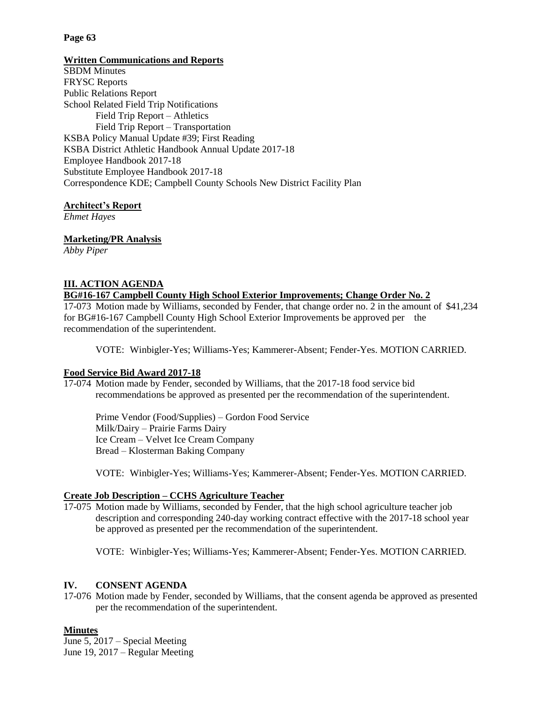# **Page 63**

# **Written Communications and Reports**

SBDM Minutes FRYSC Reports Public Relations Report School Related Field Trip Notifications Field Trip Report – Athletics Field Trip Report – Transportation KSBA Policy Manual Update #39; First Reading KSBA District Athletic Handbook Annual Update 2017-18 Employee Handbook 2017-18 Substitute Employee Handbook 2017-18 Correspondence KDE; Campbell County Schools New District Facility Plan

# **Architect's Report**

*Ehmet Hayes*

# **Marketing/PR Analysis**

*Abby Piper*

# **III. ACTION AGENDA**

# **BG#16-167 Campbell County High School Exterior Improvements; Change Order No. 2**

17-073 Motion made by Williams, seconded by Fender, that change order no. 2 in the amount of \$41,234 for BG#16-167 Campbell County High School Exterior Improvements be approved per the recommendation of the superintendent.

VOTE: Winbigler-Yes; Williams-Yes; Kammerer-Absent; Fender-Yes. MOTION CARRIED.

# **Food Service Bid Award 2017-18**

17-074 Motion made by Fender, seconded by Williams, that the 2017-18 food service bid recommendations be approved as presented per the recommendation of the superintendent.

Prime Vendor (Food/Supplies) – Gordon Food Service Milk/Dairy – Prairie Farms Dairy Ice Cream – Velvet Ice Cream Company Bread – Klosterman Baking Company

VOTE: Winbigler-Yes; Williams-Yes; Kammerer-Absent; Fender-Yes. MOTION CARRIED.

# **Create Job Description – CCHS Agriculture Teacher**

17-075 Motion made by Williams, seconded by Fender, that the high school agriculture teacher job description and corresponding 240-day working contract effective with the 2017-18 school year be approved as presented per the recommendation of the superintendent.

VOTE: Winbigler-Yes; Williams-Yes; Kammerer-Absent; Fender-Yes. MOTION CARRIED.

# **IV. CONSENT AGENDA**

17-076 Motion made by Fender, seconded by Williams, that the consent agenda be approved as presented per the recommendation of the superintendent.

# **Minutes**

June 5, 2017 – Special Meeting June 19, 2017 – Regular Meeting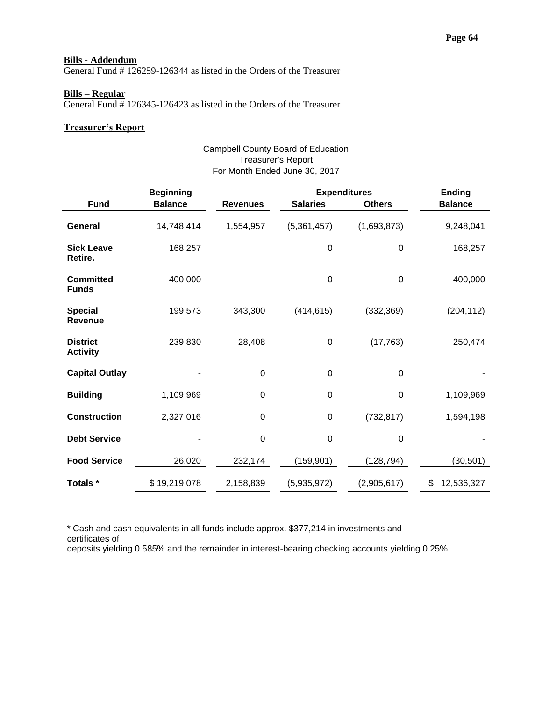### **Bills - Addendum**

General Fund # 126259-126344 as listed in the Orders of the Treasurer

### **Bills – Regular**

General Fund # 126345-126423 as listed in the Orders of the Treasurer

### **Treasurer's Report**

### Campbell County Board of Education Treasurer's Report For Month Ended June 30, 2017

| <b>Beginning</b>                   |                |                 | <b>Expenditures</b> |                  | <b>Ending</b>    |
|------------------------------------|----------------|-----------------|---------------------|------------------|------------------|
| <b>Fund</b>                        | <b>Balance</b> | <b>Revenues</b> | <b>Salaries</b>     | <b>Others</b>    | <b>Balance</b>   |
| General                            | 14,748,414     | 1,554,957       | (5,361,457)         | (1,693,873)      | 9,248,041        |
| <b>Sick Leave</b><br>Retire.       | 168,257        |                 | $\mathbf 0$         | $\boldsymbol{0}$ | 168,257          |
| <b>Committed</b><br><b>Funds</b>   | 400,000        |                 | $\mathbf 0$         | 0                | 400,000          |
| <b>Special</b><br><b>Revenue</b>   | 199,573        | 343,300         | (414, 615)          | (332, 369)       | (204, 112)       |
| <b>District</b><br><b>Activity</b> | 239,830        | 28,408          | $\boldsymbol{0}$    | (17, 763)        | 250,474          |
| <b>Capital Outlay</b>              |                | $\mathbf 0$     | $\boldsymbol{0}$    | $\boldsymbol{0}$ |                  |
| <b>Building</b>                    | 1,109,969      | 0               | $\mathbf 0$         | 0                | 1,109,969        |
| <b>Construction</b>                | 2,327,016      | $\mathbf 0$     | $\boldsymbol{0}$    | (732, 817)       | 1,594,198        |
| <b>Debt Service</b>                |                | 0               | $\mathbf 0$         | 0                |                  |
| <b>Food Service</b>                | 26,020         | 232,174         | (159, 901)          | (128, 794)       | (30, 501)        |
| Totals *                           | \$19,219,078   | 2,158,839       | (5,935,972)         | (2,905,617)      | \$<br>12,536,327 |

\* Cash and cash equivalents in all funds include approx. \$377,214 in investments and certificates of

deposits yielding 0.585% and the remainder in interest-bearing checking accounts yielding 0.25%.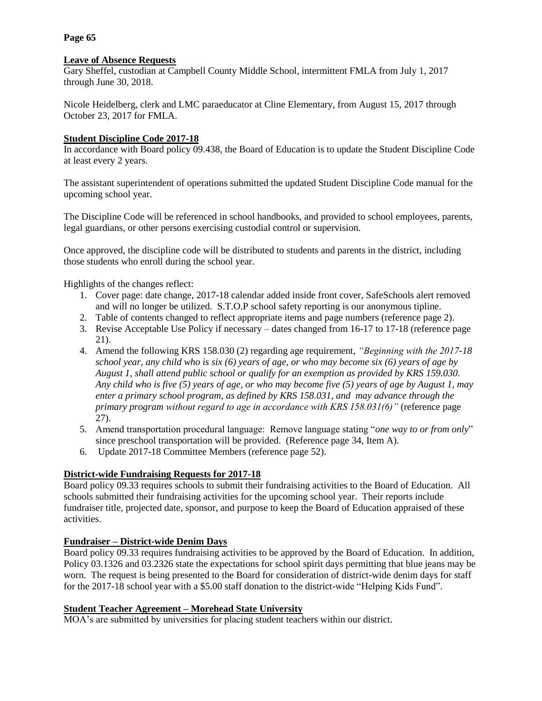# **Page 65**

# **Leave of Absence Requests**

Gary Sheffel, custodian at Campbell County Middle School, intermittent FMLA from July 1, 2017 through June 30, 2018.

Nicole Heidelberg, clerk and LMC paraeducator at Cline Elementary, from August 15, 2017 through October 23, 2017 for FMLA.

# **Student Discipline Code 2017-18**

In accordance with Board policy 09.438, the Board of Education is to update the Student Discipline Code at least every 2 years.

The assistant superintendent of operations submitted the updated Student Discipline Code manual for the upcoming school year.

The Discipline Code will be referenced in school handbooks, and provided to school employees, parents, legal guardians, or other persons exercising custodial control or supervision.

Once approved, the discipline code will be distributed to students and parents in the district, including those students who enroll during the school year.

Highlights of the changes reflect:

- 1. Cover page: date change, 2017-18 calendar added inside front cover, SafeSchools alert removed and will no longer be utilized. S.T.O.P school safety reporting is our anonymous tipline.
- 2. Table of contents changed to reflect appropriate items and page numbers (reference page 2).
- 3. Revise Acceptable Use Policy if necessary dates changed from 16-17 to 17-18 (reference page 21).
- 4. Amend the following KRS 158.030 (2) regarding age requirement, *"Beginning with the 2017-18 school year, any child who is six (6) years of age, or who may become six (6) years of age by August 1, shall attend public school or qualify for an exemption as provided by KRS 159.030. Any child who is five (5) years of age, or who may become five (5) years of age by August 1, may enter a primary school program, as defined by KRS 158.031, and may advance through the primary program without regard to age in accordance with KRS 158.031(6)"* (reference page 27).
- 5. Amend transportation procedural language: Remove language stating "*one way to or from only*" since preschool transportation will be provided. (Reference page 34, Item A).
- 6. Update 2017-18 Committee Members (reference page 52).

# **District-wide Fundraising Requests for 2017-18**

Board policy 09.33 requires schools to submit their fundraising activities to the Board of Education. All schools submitted their fundraising activities for the upcoming school year. Their reports include fundraiser title, projected date, sponsor, and purpose to keep the Board of Education appraised of these activities.

# **Fundraiser – District-wide Denim Days**

Board policy 09.33 requires fundraising activities to be approved by the Board of Education. In addition, Policy 03.1326 and 03.2326 state the expectations for school spirit days permitting that blue jeans may be worn. The request is being presented to the Board for consideration of district-wide denim days for staff for the 2017-18 school year with a \$5.00 staff donation to the district-wide "Helping Kids Fund".

# **Student Teacher Agreement – Morehead State University**

MOA's are submitted by universities for placing student teachers within our district.